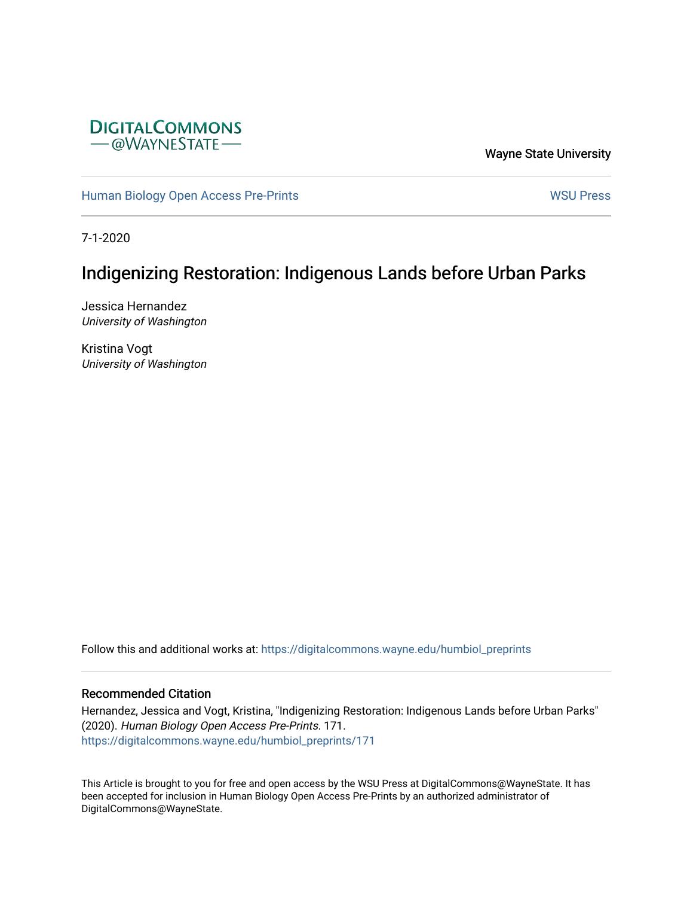

Wayne State University

[Human Biology Open Access Pre-Prints](https://digitalcommons.wayne.edu/humbiol_preprints) November 2012 1999 WSU Press

7-1-2020

# Indigenizing Restoration: Indigenous Lands before Urban Parks

Jessica Hernandez University of Washington

Kristina Vogt University of Washington

Follow this and additional works at: [https://digitalcommons.wayne.edu/humbiol\\_preprints](https://digitalcommons.wayne.edu/humbiol_preprints?utm_source=digitalcommons.wayne.edu%2Fhumbiol_preprints%2F171&utm_medium=PDF&utm_campaign=PDFCoverPages) 

## Recommended Citation

Hernandez, Jessica and Vogt, Kristina, "Indigenizing Restoration: Indigenous Lands before Urban Parks" (2020). Human Biology Open Access Pre-Prints. 171. [https://digitalcommons.wayne.edu/humbiol\\_preprints/171](https://digitalcommons.wayne.edu/humbiol_preprints/171?utm_source=digitalcommons.wayne.edu%2Fhumbiol_preprints%2F171&utm_medium=PDF&utm_campaign=PDFCoverPages) 

This Article is brought to you for free and open access by the WSU Press at DigitalCommons@WayneState. It has been accepted for inclusion in Human Biology Open Access Pre-Prints by an authorized administrator of DigitalCommons@WayneState.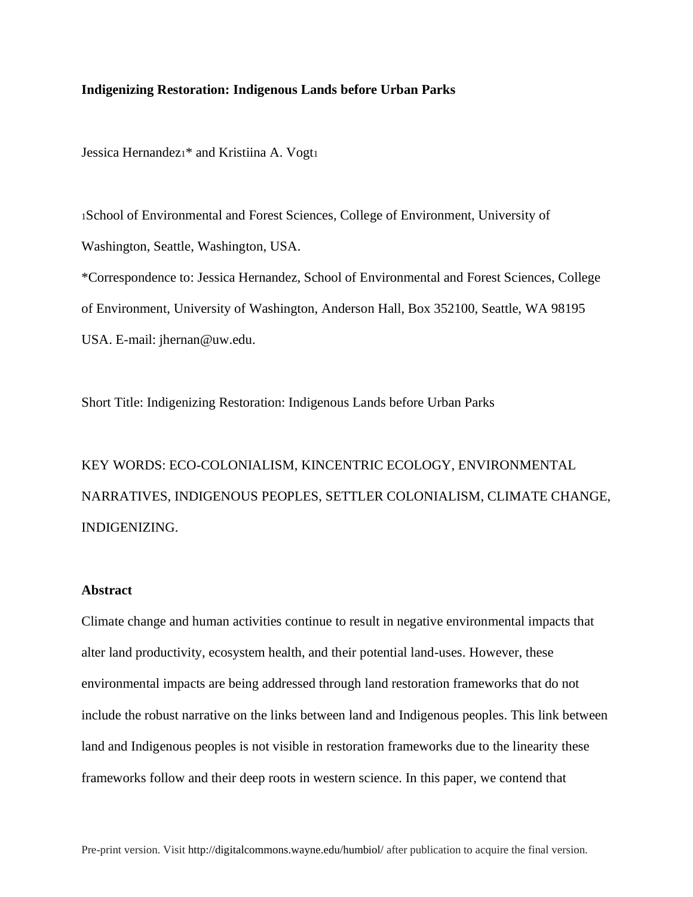## **Indigenizing Restoration: Indigenous Lands before Urban Parks**

Jessica Hernandez<sup>1\*</sup> and Kristiina A. Vogt1

<sup>1</sup>School of Environmental and Forest Sciences, College of Environment, University of Washington, Seattle, Washington, USA. \*Correspondence to: Jessica Hernandez, School of Environmental and Forest Sciences, College of Environment, University of Washington, Anderson Hall, Box 352100, Seattle, WA 98195 USA. E-mail: jhernan@uw.edu.

Short Title: Indigenizing Restoration: Indigenous Lands before Urban Parks

KEY WORDS: ECO-COLONIALISM, KINCENTRIC ECOLOGY, ENVIRONMENTAL NARRATIVES, INDIGENOUS PEOPLES, SETTLER COLONIALISM, CLIMATE CHANGE, INDIGENIZING.

### **Abstract**

Climate change and human activities continue to result in negative environmental impacts that alter land productivity, ecosystem health, and their potential land-uses. However, these environmental impacts are being addressed through land restoration frameworks that do not include the robust narrative on the links between land and Indigenous peoples. This link between land and Indigenous peoples is not visible in restoration frameworks due to the linearity these frameworks follow and their deep roots in western science. In this paper, we contend that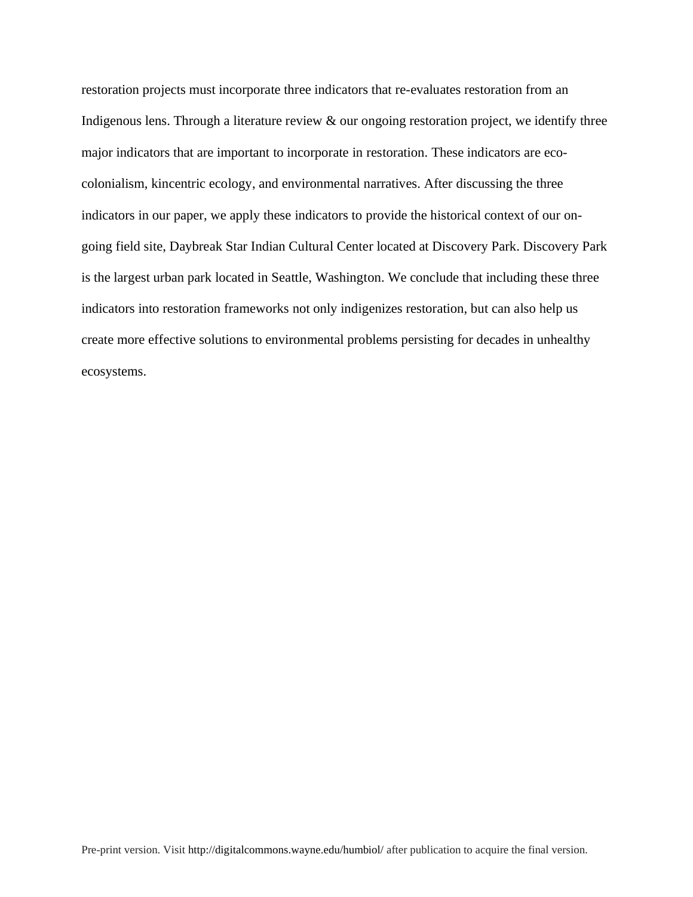restoration projects must incorporate three indicators that re-evaluates restoration from an Indigenous lens. Through a literature review & our ongoing restoration project, we identify three major indicators that are important to incorporate in restoration. These indicators are ecocolonialism, kincentric ecology, and environmental narratives. After discussing the three indicators in our paper, we apply these indicators to provide the historical context of our ongoing field site, Daybreak Star Indian Cultural Center located at Discovery Park. Discovery Park is the largest urban park located in Seattle, Washington. We conclude that including these three indicators into restoration frameworks not only indigenizes restoration, but can also help us create more effective solutions to environmental problems persisting for decades in unhealthy ecosystems.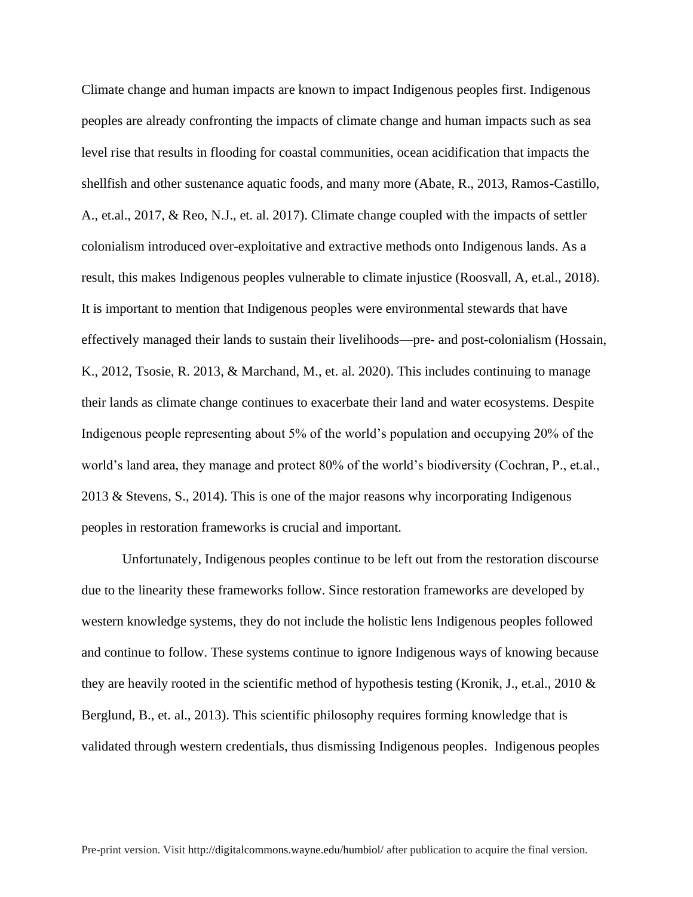Climate change and human impacts are known to impact Indigenous peoples first. Indigenous peoples are already confronting the impacts of climate change and human impacts such as sea level rise that results in flooding for coastal communities, ocean acidification that impacts the shellfish and other sustenance aquatic foods, and many more (Abate, R., 2013, Ramos-Castillo, A., et.al., 2017, & Reo, N.J., et. al. 2017). Climate change coupled with the impacts of settler colonialism introduced over-exploitative and extractive methods onto Indigenous lands. As a result, this makes Indigenous peoples vulnerable to climate injustice (Roosvall, A, et.al., 2018). It is important to mention that Indigenous peoples were environmental stewards that have effectively managed their lands to sustain their livelihoods—pre- and post-colonialism (Hossain, K., 2012, Tsosie, R. 2013, & Marchand, M., et. al. 2020). This includes continuing to manage their lands as climate change continues to exacerbate their land and water ecosystems. Despite Indigenous people representing about 5% of the world's population and occupying 20% of the world's land area, they manage and protect 80% of the world's biodiversity (Cochran, P., et.al., 2013 & Stevens, S., 2014). This is one of the major reasons why incorporating Indigenous peoples in restoration frameworks is crucial and important.

Unfortunately, Indigenous peoples continue to be left out from the restoration discourse due to the linearity these frameworks follow. Since restoration frameworks are developed by western knowledge systems, they do not include the holistic lens Indigenous peoples followed and continue to follow. These systems continue to ignore Indigenous ways of knowing because they are heavily rooted in the scientific method of hypothesis testing (Kronik, J., et.al., 2010 & Berglund, B., et. al., 2013). This scientific philosophy requires forming knowledge that is validated through western credentials, thus dismissing Indigenous peoples. Indigenous peoples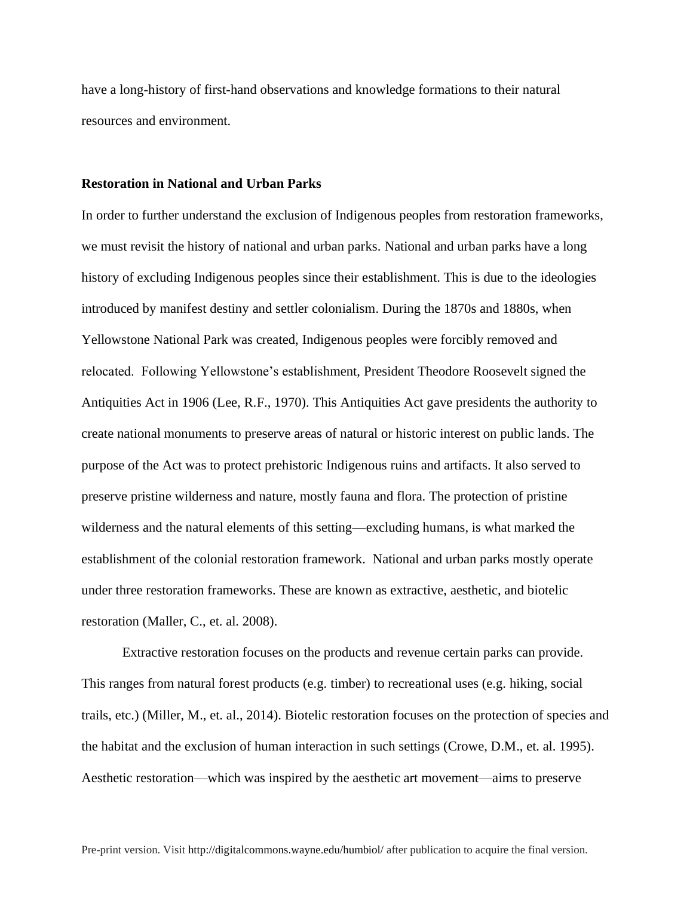have a long-history of first-hand observations and knowledge formations to their natural resources and environment.

#### **Restoration in National and Urban Parks**

In order to further understand the exclusion of Indigenous peoples from restoration frameworks, we must revisit the history of national and urban parks. National and urban parks have a long history of excluding Indigenous peoples since their establishment. This is due to the ideologies introduced by manifest destiny and settler colonialism. During the 1870s and 1880s, when Yellowstone National Park was created, Indigenous peoples were forcibly removed and relocated. Following Yellowstone's establishment, President Theodore Roosevelt signed the Antiquities Act in 1906 (Lee, R.F., 1970). This Antiquities Act gave presidents the authority to create national monuments to preserve areas of natural or historic interest on public lands. The purpose of the Act was to protect prehistoric Indigenous ruins and artifacts. It also served to preserve pristine wilderness and nature, mostly fauna and flora. The protection of pristine wilderness and the natural elements of this setting—excluding humans, is what marked the establishment of the colonial restoration framework. National and urban parks mostly operate under three restoration frameworks. These are known as extractive, aesthetic, and biotelic restoration (Maller, C., et. al. 2008).

Extractive restoration focuses on the products and revenue certain parks can provide. This ranges from natural forest products (e.g. timber) to recreational uses (e.g. hiking, social trails, etc.) (Miller, M., et. al., 2014). Biotelic restoration focuses on the protection of species and the habitat and the exclusion of human interaction in such settings (Crowe, D.M., et. al. 1995). Aesthetic restoration—which was inspired by the aesthetic art movement—aims to preserve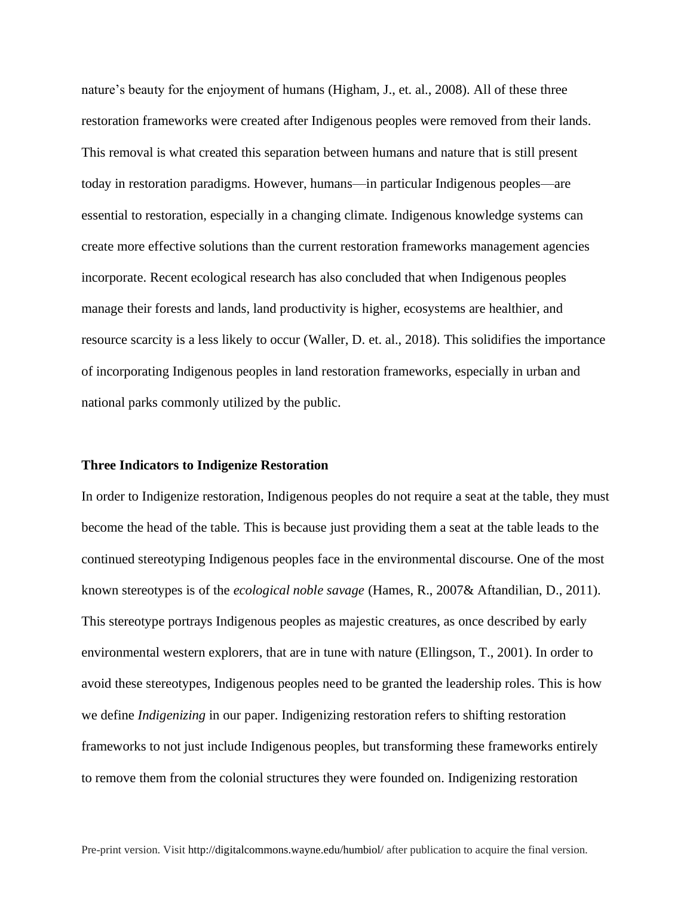nature's beauty for the enjoyment of humans (Higham, J., et. al., 2008). All of these three restoration frameworks were created after Indigenous peoples were removed from their lands. This removal is what created this separation between humans and nature that is still present today in restoration paradigms. However, humans—in particular Indigenous peoples—are essential to restoration, especially in a changing climate. Indigenous knowledge systems can create more effective solutions than the current restoration frameworks management agencies incorporate. Recent ecological research has also concluded that when Indigenous peoples manage their forests and lands, land productivity is higher, ecosystems are healthier, and resource scarcity is a less likely to occur (Waller, D. et. al., 2018). This solidifies the importance of incorporating Indigenous peoples in land restoration frameworks, especially in urban and national parks commonly utilized by the public.

#### **Three Indicators to Indigenize Restoration**

In order to Indigenize restoration, Indigenous peoples do not require a seat at the table, they must become the head of the table. This is because just providing them a seat at the table leads to the continued stereotyping Indigenous peoples face in the environmental discourse. One of the most known stereotypes is of the *ecological noble savage* (Hames, R., 2007& Aftandilian, D., 2011). This stereotype portrays Indigenous peoples as majestic creatures, as once described by early environmental western explorers, that are in tune with nature (Ellingson, T., 2001). In order to avoid these stereotypes, Indigenous peoples need to be granted the leadership roles. This is how we define *Indigenizing* in our paper. Indigenizing restoration refers to shifting restoration frameworks to not just include Indigenous peoples, but transforming these frameworks entirely to remove them from the colonial structures they were founded on. Indigenizing restoration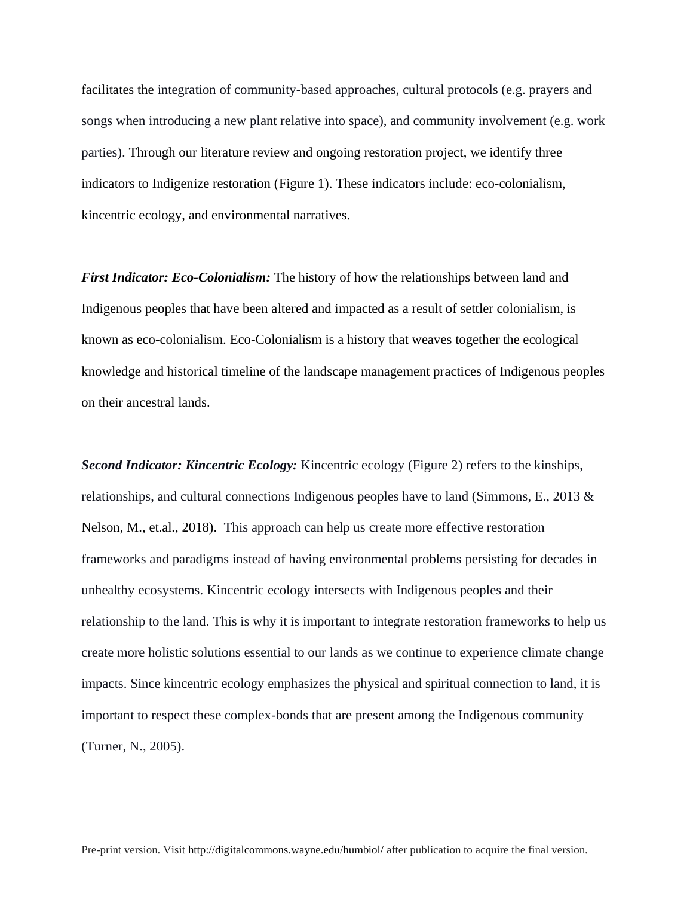facilitates the integration of community-based approaches, cultural protocols (e.g. prayers and songs when introducing a new plant relative into space), and community involvement (e.g. work parties). Through our literature review and ongoing restoration project, we identify three indicators to Indigenize restoration (Figure 1). These indicators include: eco-colonialism, kincentric ecology, and environmental narratives.

*First Indicator: Eco-Colonialism:* The history of how the relationships between land and Indigenous peoples that have been altered and impacted as a result of settler colonialism, is known as eco-colonialism. Eco-Colonialism is a history that weaves together the ecological knowledge and historical timeline of the landscape management practices of Indigenous peoples on their ancestral lands.

*Second Indicator: Kincentric Ecology:* Kincentric ecology (Figure 2) refers to the kinships, relationships, and cultural connections Indigenous peoples have to land (Simmons, E., 2013 & Nelson, M., et.al., 2018). This approach can help us create more effective restoration frameworks and paradigms instead of having environmental problems persisting for decades in unhealthy ecosystems. Kincentric ecology intersects with Indigenous peoples and their relationship to the land. This is why it is important to integrate restoration frameworks to help us create more holistic solutions essential to our lands as we continue to experience climate change impacts. Since kincentric ecology emphasizes the physical and spiritual connection to land, it is important to respect these complex-bonds that are present among the Indigenous community (Turner, N., 2005).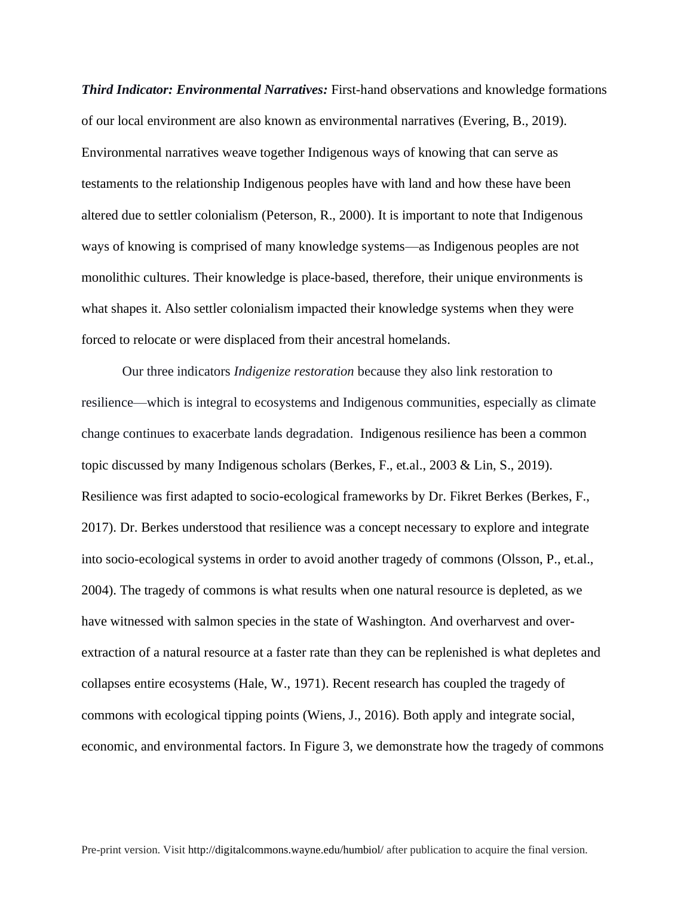*Third Indicator: Environmental Narratives:* First-hand observations and knowledge formations of our local environment are also known as environmental narratives (Evering, B., 2019). Environmental narratives weave together Indigenous ways of knowing that can serve as testaments to the relationship Indigenous peoples have with land and how these have been altered due to settler colonialism (Peterson, R., 2000). It is important to note that Indigenous ways of knowing is comprised of many knowledge systems—as Indigenous peoples are not monolithic cultures. Their knowledge is place-based, therefore, their unique environments is what shapes it. Also settler colonialism impacted their knowledge systems when they were forced to relocate or were displaced from their ancestral homelands.

Our three indicators *Indigenize restoration* because they also link restoration to resilience—which is integral to ecosystems and Indigenous communities, especially as climate change continues to exacerbate lands degradation. Indigenous resilience has been a common topic discussed by many Indigenous scholars (Berkes, F., et.al., 2003 & Lin, S., 2019). Resilience was first adapted to socio-ecological frameworks by Dr. Fikret Berkes (Berkes, F., 2017). Dr. Berkes understood that resilience was a concept necessary to explore and integrate into socio-ecological systems in order to avoid another tragedy of commons (Olsson, P., et.al., 2004). The tragedy of commons is what results when one natural resource is depleted, as we have witnessed with salmon species in the state of Washington. And overharvest and overextraction of a natural resource at a faster rate than they can be replenished is what depletes and collapses entire ecosystems (Hale, W., 1971). Recent research has coupled the tragedy of commons with ecological tipping points (Wiens, J., 2016). Both apply and integrate social, economic, and environmental factors. In Figure 3, we demonstrate how the tragedy of commons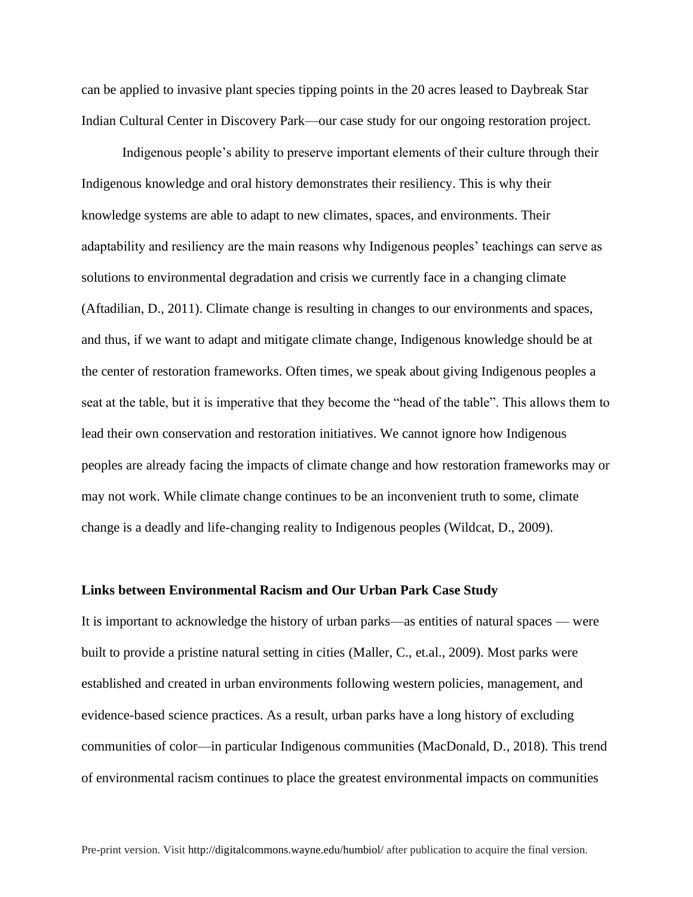can be applied to invasive plant species tipping points in the 20 acres leased to Daybreak Star Indian Cultural Center in Discovery Park—our case study for our ongoing restoration project.

Indigenous people's ability to preserve important elements of their culture through their Indigenous knowledge and oral history demonstrates their resiliency. This is why their knowledge systems are able to adapt to new climates, spaces, and environments. Their adaptability and resiliency are the main reasons why Indigenous peoples' teachings can serve as solutions to environmental degradation and crisis we currently face in a changing climate (Aftadilian, D., 2011). Climate change is resulting in changes to our environments and spaces, and thus, if we want to adapt and mitigate climate change, Indigenous knowledge should be at the center of restoration frameworks. Often times, we speak about giving Indigenous peoples a seat at the table, but it is imperative that they become the "head of the table". This allows them to lead their own conservation and restoration initiatives. We cannot ignore how Indigenous peoples are already facing the impacts of climate change and how restoration frameworks may or may not work. While climate change continues to be an inconvenient truth to some, climate change is a deadly and life-changing reality to Indigenous peoples (Wildcat, D., 2009).

#### **Links between Environmental Racism and Our Urban Park Case Study**

It is important to acknowledge the history of urban parks—as entities of natural spaces — were built to provide a pristine natural setting in cities (Maller, C., et.al., 2009). Most parks were established and created in urban environments following western policies, management, and evidence-based science practices. As a result, urban parks have a long history of excluding communities of color—in particular Indigenous communities (MacDonald, D., 2018). This trend of environmental racism continues to place the greatest environmental impacts on communities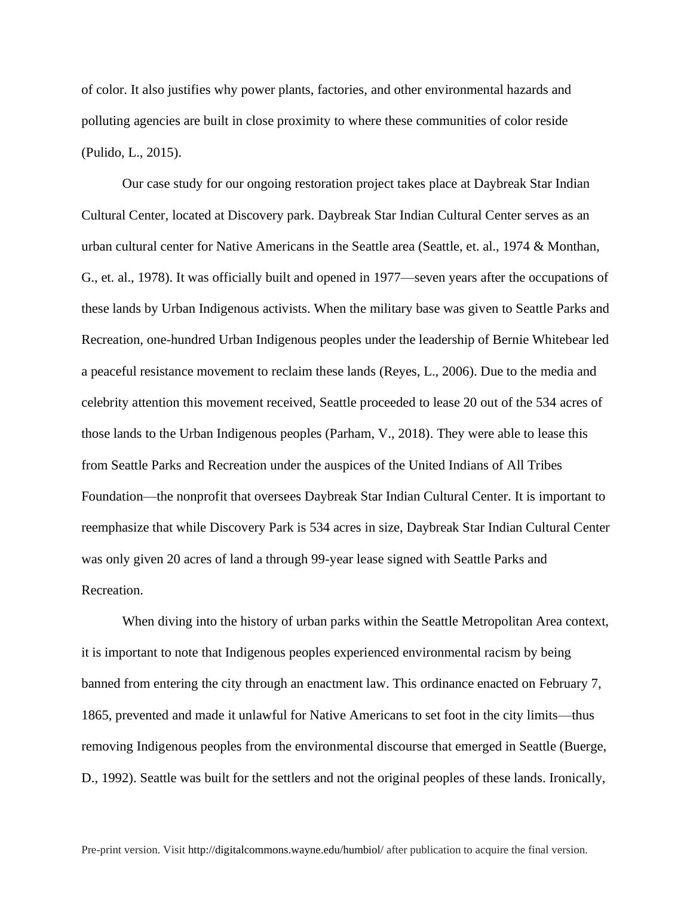of color. It also justifies why power plants, factories, and other environmental hazards and polluting agencies are built in close proximity to where these communities of color reside (Pulido, L., 2015).

Our case study for our ongoing restoration project takes place at Daybreak Star Indian Cultural Center, located at Discovery park. Daybreak Star Indian Cultural Center serves as an urban cultural center for Native Americans in the Seattle area (Seattle, et. al., 1974 & Monthan, G., et. al., 1978). It was officially built and opened in 1977—seven years after the occupations of these lands by Urban Indigenous activists. When the military base was given to Seattle Parks and Recreation, one-hundred Urban Indigenous peoples under the leadership of Bernie Whitebear led a peaceful resistance movement to reclaim these lands (Reyes, L., 2006). Due to the media and celebrity attention this movement received, Seattle proceeded to lease 20 out of the 534 acres of those lands to the Urban Indigenous peoples (Parham, V., 2018). They were able to lease this from Seattle Parks and Recreation under the auspices of the United Indians of All Tribes Foundation—the nonprofit that oversees Daybreak Star Indian Cultural Center. It is important to reemphasize that while Discovery Park is 534 acres in size, Daybreak Star Indian Cultural Center was only given 20 acres of land a through 99-year lease signed with Seattle Parks and Recreation.

When diving into the history of urban parks within the Seattle Metropolitan Area context, it is important to note that Indigenous peoples experienced environmental racism by being banned from entering the city through an enactment law. This ordinance enacted on February 7, 1865, prevented and made it unlawful for Native Americans to set foot in the city limits—thus removing Indigenous peoples from the environmental discourse that emerged in Seattle (Buerge, D., 1992). Seattle was built for the settlers and not the original peoples of these lands. Ironically,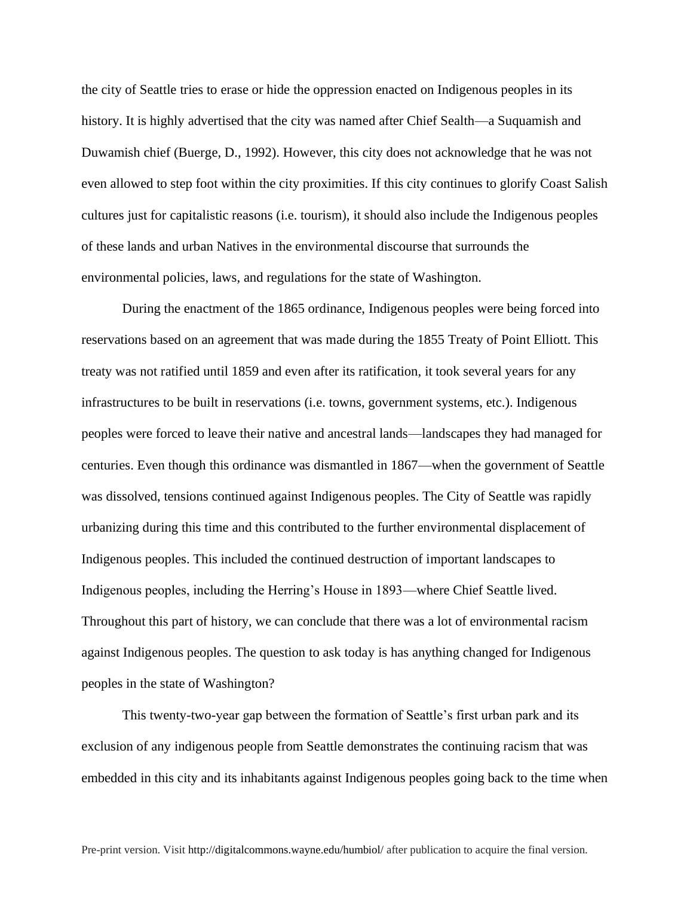the city of Seattle tries to erase or hide the oppression enacted on Indigenous peoples in its history. It is highly advertised that the city was named after Chief Sealth—a Suquamish and Duwamish chief (Buerge, D., 1992). However, this city does not acknowledge that he was not even allowed to step foot within the city proximities. If this city continues to glorify Coast Salish cultures just for capitalistic reasons (i.e. tourism), it should also include the Indigenous peoples of these lands and urban Natives in the environmental discourse that surrounds the environmental policies, laws, and regulations for the state of Washington.

During the enactment of the 1865 ordinance, Indigenous peoples were being forced into reservations based on an agreement that was made during the 1855 Treaty of Point Elliott. This treaty was not ratified until 1859 and even after its ratification, it took several years for any infrastructures to be built in reservations (i.e. towns, government systems, etc.). Indigenous peoples were forced to leave their native and ancestral lands—landscapes they had managed for centuries. Even though this ordinance was dismantled in 1867—when the government of Seattle was dissolved, tensions continued against Indigenous peoples. The City of Seattle was rapidly urbanizing during this time and this contributed to the further environmental displacement of Indigenous peoples. This included the continued destruction of important landscapes to Indigenous peoples, including the Herring's House in 1893—where Chief Seattle lived. Throughout this part of history, we can conclude that there was a lot of environmental racism against Indigenous peoples. The question to ask today is has anything changed for Indigenous peoples in the state of Washington?

This twenty-two-year gap between the formation of Seattle's first urban park and its exclusion of any indigenous people from Seattle demonstrates the continuing racism that was embedded in this city and its inhabitants against Indigenous peoples going back to the time when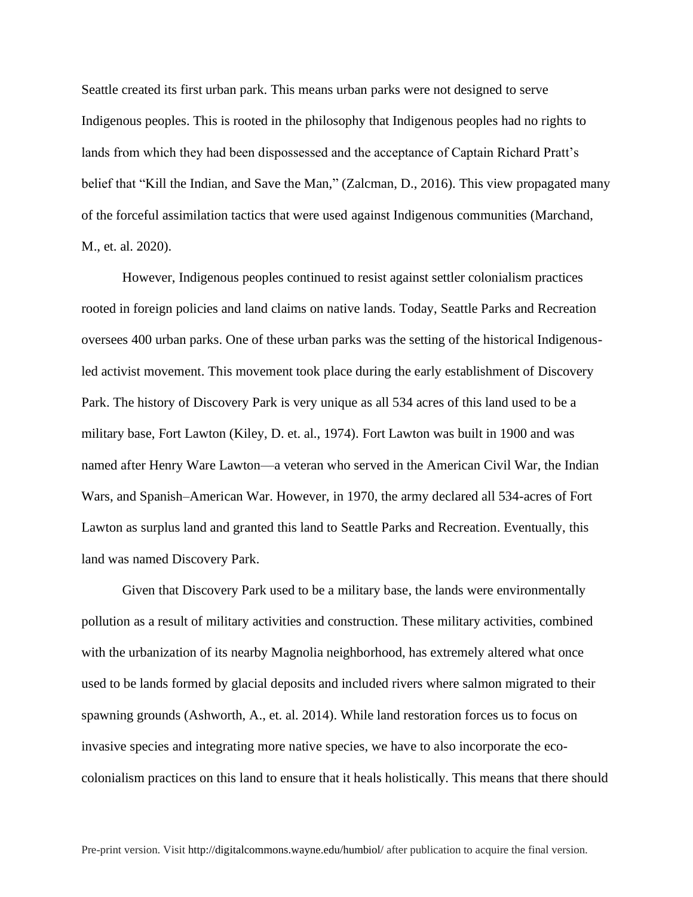Seattle created its first urban park. This means urban parks were not designed to serve Indigenous peoples. This is rooted in the philosophy that Indigenous peoples had no rights to lands from which they had been dispossessed and the acceptance of Captain Richard Pratt's belief that "Kill the Indian, and Save the Man," (Zalcman, D., 2016). This view propagated many of the forceful assimilation tactics that were used against Indigenous communities (Marchand, M., et. al. 2020).

However, Indigenous peoples continued to resist against settler colonialism practices rooted in foreign policies and land claims on native lands. Today, Seattle Parks and Recreation oversees 400 urban parks. One of these urban parks was the setting of the historical Indigenousled activist movement. This movement took place during the early establishment of Discovery Park. The history of Discovery Park is very unique as all 534 acres of this land used to be a military base, Fort Lawton (Kiley, D. et. al., 1974). Fort Lawton was built in 1900 and was named after Henry Ware Lawton—a veteran who served in the American Civil War, the Indian Wars, and Spanish–American War. However, in 1970, the army declared all 534-acres of Fort Lawton as surplus land and granted this land to Seattle Parks and Recreation. Eventually, this land was named Discovery Park.

Given that Discovery Park used to be a military base, the lands were environmentally pollution as a result of military activities and construction. These military activities, combined with the urbanization of its nearby Magnolia neighborhood, has extremely altered what once used to be lands formed by glacial deposits and included rivers where salmon migrated to their spawning grounds (Ashworth, A., et. al. 2014). While land restoration forces us to focus on invasive species and integrating more native species, we have to also incorporate the ecocolonialism practices on this land to ensure that it heals holistically. This means that there should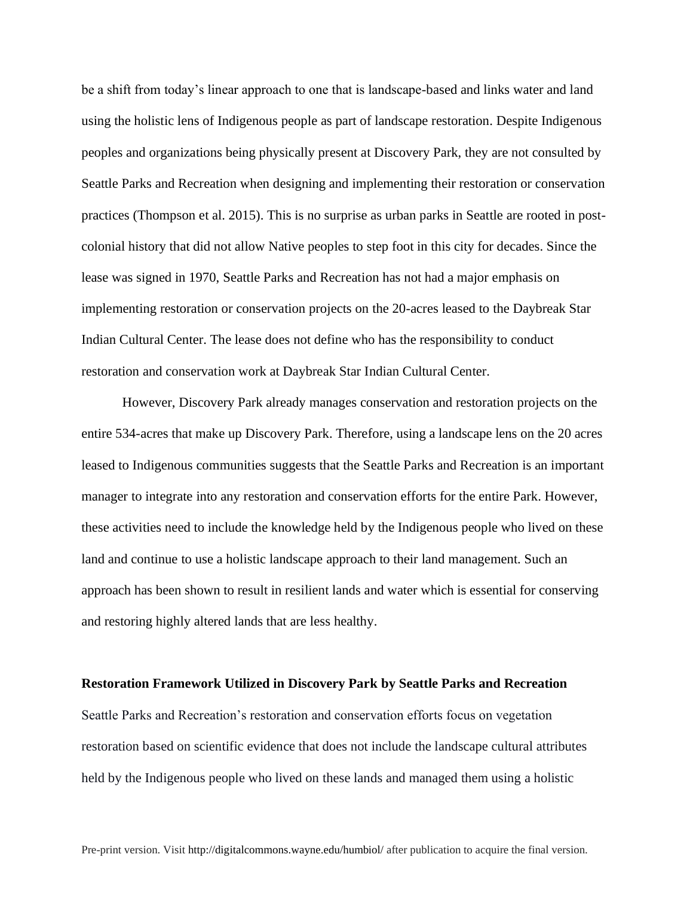be a shift from today's linear approach to one that is landscape-based and links water and land using the holistic lens of Indigenous people as part of landscape restoration. Despite Indigenous peoples and organizations being physically present at Discovery Park, they are not consulted by Seattle Parks and Recreation when designing and implementing their restoration or conservation practices (Thompson et al. 2015). This is no surprise as urban parks in Seattle are rooted in postcolonial history that did not allow Native peoples to step foot in this city for decades. Since the lease was signed in 1970, Seattle Parks and Recreation has not had a major emphasis on implementing restoration or conservation projects on the 20-acres leased to the Daybreak Star Indian Cultural Center. The lease does not define who has the responsibility to conduct restoration and conservation work at Daybreak Star Indian Cultural Center.

However, Discovery Park already manages conservation and restoration projects on the entire 534-acres that make up Discovery Park. Therefore, using a landscape lens on the 20 acres leased to Indigenous communities suggests that the Seattle Parks and Recreation is an important manager to integrate into any restoration and conservation efforts for the entire Park. However, these activities need to include the knowledge held by the Indigenous people who lived on these land and continue to use a holistic landscape approach to their land management. Such an approach has been shown to result in resilient lands and water which is essential for conserving and restoring highly altered lands that are less healthy.

#### **Restoration Framework Utilized in Discovery Park by Seattle Parks and Recreation**

Seattle Parks and Recreation's restoration and conservation efforts focus on vegetation restoration based on scientific evidence that does not include the landscape cultural attributes held by the Indigenous people who lived on these lands and managed them using a holistic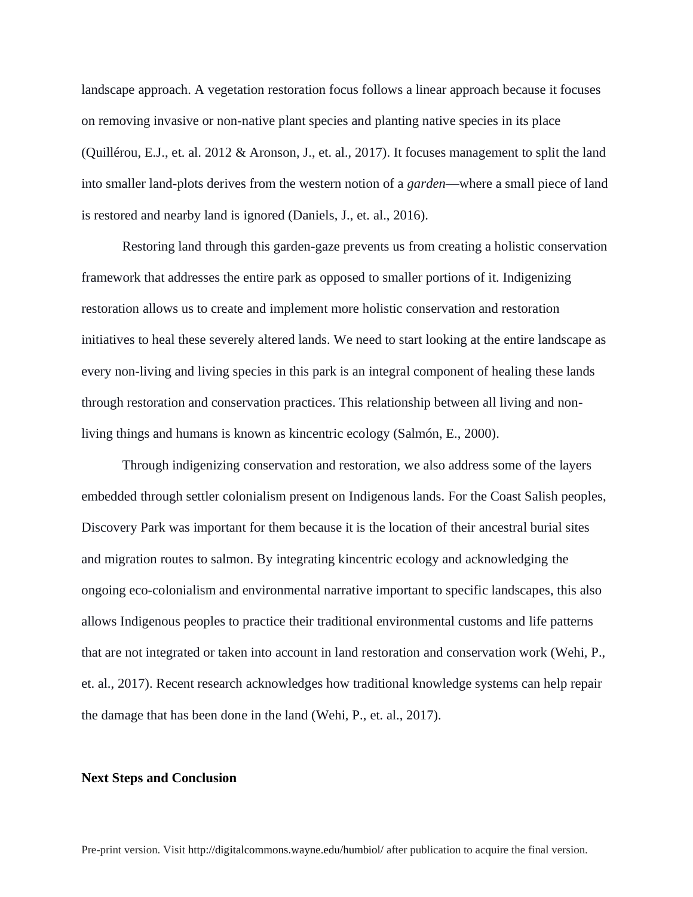landscape approach. A vegetation restoration focus follows a linear approach because it focuses on removing invasive or non-native plant species and planting native species in its place (Quillérou, E.J., et. al. 2012 & Aronson, J., et. al., 2017). It focuses management to split the land into smaller land-plots derives from the western notion of a *garden*—where a small piece of land is restored and nearby land is ignored (Daniels, J., et. al., 2016).

Restoring land through this garden-gaze prevents us from creating a holistic conservation framework that addresses the entire park as opposed to smaller portions of it. Indigenizing restoration allows us to create and implement more holistic conservation and restoration initiatives to heal these severely altered lands. We need to start looking at the entire landscape as every non-living and living species in this park is an integral component of healing these lands through restoration and conservation practices. This relationship between all living and nonliving things and humans is known as kincentric ecology (Salmón, E., 2000).

Through indigenizing conservation and restoration, we also address some of the layers embedded through settler colonialism present on Indigenous lands. For the Coast Salish peoples, Discovery Park was important for them because it is the location of their ancestral burial sites and migration routes to salmon. By integrating kincentric ecology and acknowledging the ongoing eco-colonialism and environmental narrative important to specific landscapes, this also allows Indigenous peoples to practice their traditional environmental customs and life patterns that are not integrated or taken into account in land restoration and conservation work (Wehi, P., et. al., 2017). Recent research acknowledges how traditional knowledge systems can help repair the damage that has been done in the land (Wehi, P., et. al., 2017).

#### **Next Steps and Conclusion**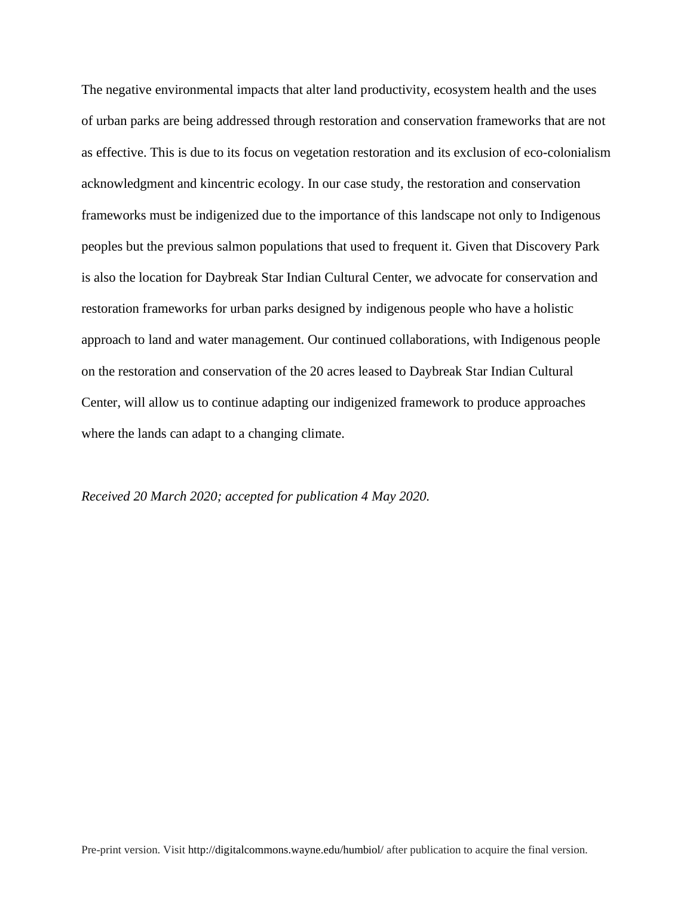The negative environmental impacts that alter land productivity, ecosystem health and the uses of urban parks are being addressed through restoration and conservation frameworks that are not as effective. This is due to its focus on vegetation restoration and its exclusion of eco-colonialism acknowledgment and kincentric ecology. In our case study, the restoration and conservation frameworks must be indigenized due to the importance of this landscape not only to Indigenous peoples but the previous salmon populations that used to frequent it. Given that Discovery Park is also the location for Daybreak Star Indian Cultural Center, we advocate for conservation and restoration frameworks for urban parks designed by indigenous people who have a holistic approach to land and water management. Our continued collaborations, with Indigenous people on the restoration and conservation of the 20 acres leased to Daybreak Star Indian Cultural Center, will allow us to continue adapting our indigenized framework to produce approaches where the lands can adapt to a changing climate.

#### *Received 20 March 2020; accepted for publication 4 May 2020.*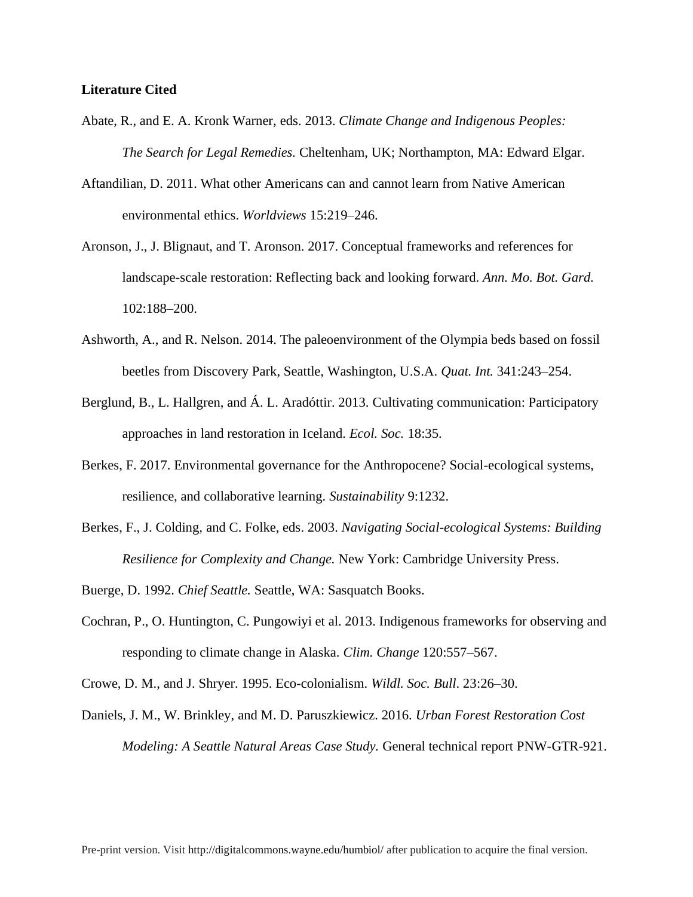### **Literature Cited**

- Abate, R., and E. A. Kronk Warner, eds. 2013. *Climate Change and Indigenous Peoples: The Search for Legal Remedies.* Cheltenham, UK; Northampton, MA: Edward Elgar.
- Aftandilian, D. 2011. What other Americans can and cannot learn from Native American environmental ethics. *Worldviews* 15:219–246.
- Aronson, J., J. Blignaut, and T. Aronson. 2017. Conceptual frameworks and references for landscape-scale restoration: Reflecting back and looking forward. *Ann. Mo. Bot. Gard.* 102:188–200.
- Ashworth, A., and R. Nelson. 2014. The paleoenvironment of the Olympia beds based on fossil beetles from Discovery Park, Seattle, Washington, U.S.A. *Quat. Int.* 341:243–254.
- Berglund, B., L. Hallgren, and Á. L. Aradóttir. 2013. Cultivating communication: Participatory approaches in land restoration in Iceland. *Ecol. Soc.* 18:35.
- Berkes, F. 2017. Environmental governance for the Anthropocene? Social-ecological systems, resilience, and collaborative learning. *Sustainability* 9:1232.
- Berkes, F., J. Colding, and C. Folke, eds. 2003. *Navigating Social-ecological Systems: Building Resilience for Complexity and Change.* New York: Cambridge University Press.
- Buerge, D. 1992. *Chief Seattle.* Seattle, WA: Sasquatch Books.
- Cochran, P., O. Huntington, C. Pungowiyi et al. 2013. Indigenous frameworks for observing and responding to climate change in Alaska. *Clim. Change* 120:557–567.
- Crowe, D. M., and J. Shryer. 1995. Eco-colonialism. *Wildl. Soc. Bull*. 23:26–30.
- Daniels, J. M., W. Brinkley, and M. D. Paruszkiewicz. 2016. *Urban Forest Restoration Cost Modeling: A Seattle Natural Areas Case Study.* General technical report PNW-GTR-921.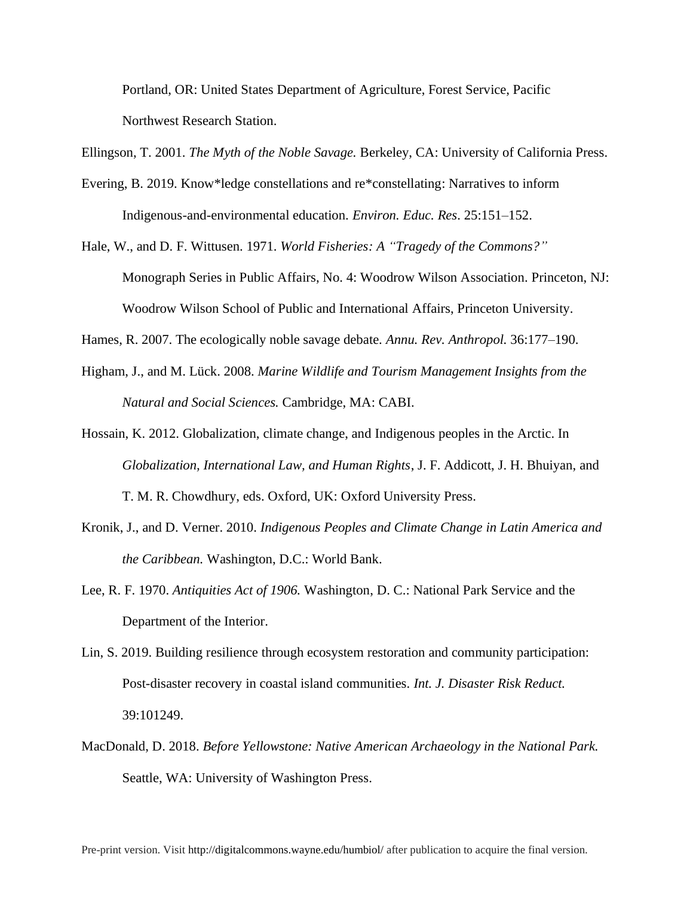Portland, OR: United States Department of Agriculture, Forest Service, Pacific Northwest Research Station.

Ellingson, T. 2001. *The Myth of the Noble Savage.* Berkeley, CA: University of California Press.

- Evering, B. 2019. Know\*ledge constellations and re\*constellating: Narratives to inform Indigenous-and-environmental education. *Environ. Educ. Res*. 25:151–152.
- Hale, W., and D. F. Wittusen. 1971. *World Fisheries: A "Tragedy of the Commons?"* Monograph Series in Public Affairs, No. 4: Woodrow Wilson Association. Princeton, NJ: Woodrow Wilson School of Public and International Affairs, Princeton University.

Hames, R. 2007. The ecologically noble savage debate. *Annu. Rev. Anthropol.* 36:177–190.

- Higham, J., and M. Lück. 2008. *Marine Wildlife and Tourism Management Insights from the Natural and Social Sciences.* Cambridge, MA: CABI.
- Hossain, K. 2012. Globalization, climate change, and Indigenous peoples in the Arctic. In *Globalization, International Law, and Human Rights*, J. F. Addicott, J. H. Bhuiyan, and T. M. R. Chowdhury, eds. Oxford, UK: Oxford University Press.
- Kronik, J., and D. Verner. 2010. *Indigenous Peoples and Climate Change in Latin America and the Caribbean.* Washington, D.C.: World Bank.
- Lee, R. F. 1970. *Antiquities Act of 1906.* Washington, D. C.: National Park Service and the Department of the Interior.
- Lin, S. 2019. Building resilience through ecosystem restoration and community participation: Post-disaster recovery in coastal island communities. *Int. J. Disaster Risk Reduct.* 39:101249.
- MacDonald, D. 2018. *Before Yellowstone: Native American Archaeology in the National Park.* Seattle, WA: University of Washington Press.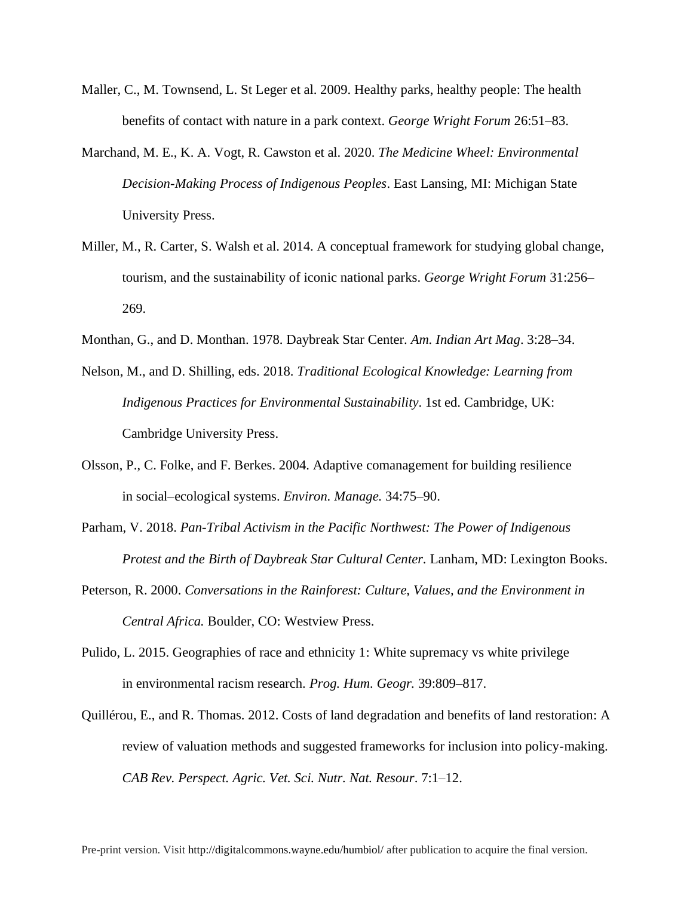- Maller, C., M. Townsend, L. St Leger et al. 2009. Healthy parks, healthy people: The health benefits of contact with nature in a park context. *George Wright Forum* 26:51–83.
- Marchand, M. E., K. A. Vogt, R. Cawston et al. 2020. *The Medicine Wheel: Environmental Decision-Making Process of Indigenous Peoples*. East Lansing, MI: Michigan State University Press.
- Miller, M., R. Carter, S. Walsh et al. 2014. A conceptual framework for studying global change, tourism, and the sustainability of iconic national parks. *George Wright Forum* 31:256– 269.
- Monthan, G., and D. Monthan. 1978. Daybreak Star Center. *Am. Indian Art Mag*. 3:28–34.
- Nelson, M., and D. Shilling, eds. 2018. *Traditional Ecological Knowledge: Learning from Indigenous Practices for Environmental Sustainability*. 1st ed. Cambridge, UK: Cambridge University Press.
- Olsson, P., C. Folke, and F. Berkes. 2004. Adaptive comanagement for building resilience in social–ecological systems. *Environ. Manage.* 34:75–90.
- Parham, V. 2018. *Pan-Tribal Activism in the Pacific Northwest: The Power of Indigenous Protest and the Birth of Daybreak Star Cultural Center.* Lanham, MD: Lexington Books.
- Peterson, R. 2000. *Conversations in the Rainforest: Culture, Values, and the Environment in Central Africa.* Boulder, CO: Westview Press.
- Pulido, L. 2015. Geographies of race and ethnicity 1: White supremacy vs white privilege in environmental racism research. *Prog. Hum. Geogr.* 39:809–817.
- Quillérou, E., and R. Thomas. 2012. Costs of land degradation and benefits of land restoration: A review of valuation methods and suggested frameworks for inclusion into policy-making. *CAB Rev. Perspect. Agric. Vet. Sci. Nutr. Nat. Resour*. 7:1–12.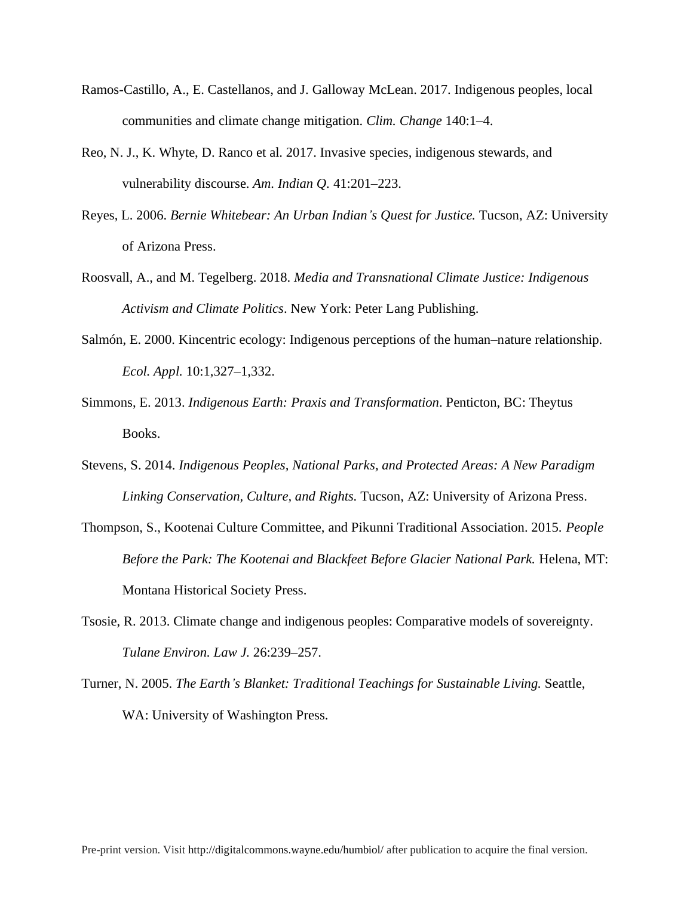- Ramos-Castillo, A., E. Castellanos, and J. Galloway McLean. 2017. Indigenous peoples, local communities and climate change mitigation. *Clim. Change* 140:1–4.
- Reo, N. J., K. Whyte, D. Ranco et al. 2017. Invasive species, indigenous stewards, and vulnerability discourse. *Am. Indian Q.* 41:201–223.
- Reyes, L. 2006. *Bernie Whitebear: An Urban Indian's Quest for Justice.* Tucson, AZ: University of Arizona Press.
- Roosvall, A., and M. Tegelberg. 2018. *Media and Transnational Climate Justice: Indigenous Activism and Climate Politics*. New York: Peter Lang Publishing.
- Salmón, E. 2000. Kincentric ecology: Indigenous perceptions of the human–nature relationship. *Ecol. Appl.* 10:1,327–1,332.
- Simmons, E. 2013. *Indigenous Earth: Praxis and Transformation*. Penticton, BC: Theytus Books.
- Stevens, S. 2014. *Indigenous Peoples, National Parks, and Protected Areas: A New Paradigm Linking Conservation, Culture, and Rights.* Tucson, AZ: University of Arizona Press.
- Thompson, S., Kootenai Culture Committee, and Pikunni Traditional Association. 2015. *People Before the Park: The Kootenai and Blackfeet Before Glacier National Park. Helena, MT:* Montana Historical Society Press.
- Tsosie, R. 2013. Climate change and indigenous peoples: Comparative models of sovereignty. *Tulane Environ. Law J.* 26:239–257.
- Turner, N. 2005. *The Earth's Blanket: Traditional Teachings for Sustainable Living.* Seattle, WA: University of Washington Press.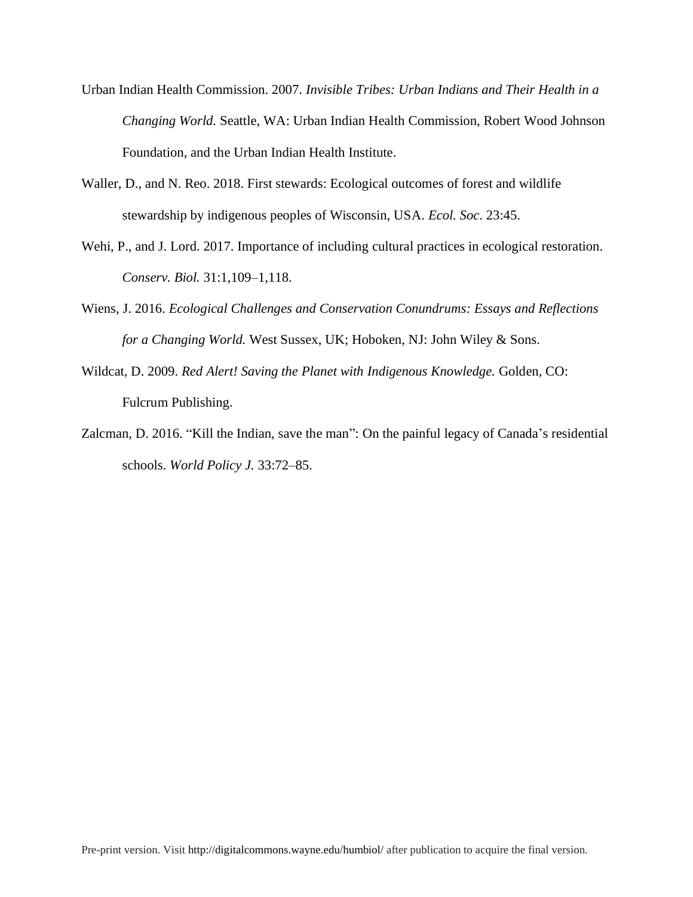- Urban Indian Health Commission. 2007. *Invisible Tribes: Urban Indians and Their Health in a Changing World.* Seattle, WA: Urban Indian Health Commission, Robert Wood Johnson Foundation, and the Urban Indian Health Institute.
- Waller, D., and N. Reo. 2018. First stewards: Ecological outcomes of forest and wildlife stewardship by indigenous peoples of Wisconsin, USA. *Ecol. Soc*. 23:45.
- Wehi, P., and J. Lord. 2017. Importance of including cultural practices in ecological restoration. *Conserv. Biol.* 31:1,109–1,118.
- Wiens, J. 2016. *Ecological Challenges and Conservation Conundrums: Essays and Reflections for a Changing World.* West Sussex, UK; Hoboken, NJ: John Wiley & Sons.
- Wildcat, D. 2009. *Red Alert! Saving the Planet with Indigenous Knowledge.* Golden, CO: Fulcrum Publishing.
- Zalcman, D. 2016. "Kill the Indian, save the man": On the painful legacy of Canada's residential schools. *World Policy J.* 33:72–85.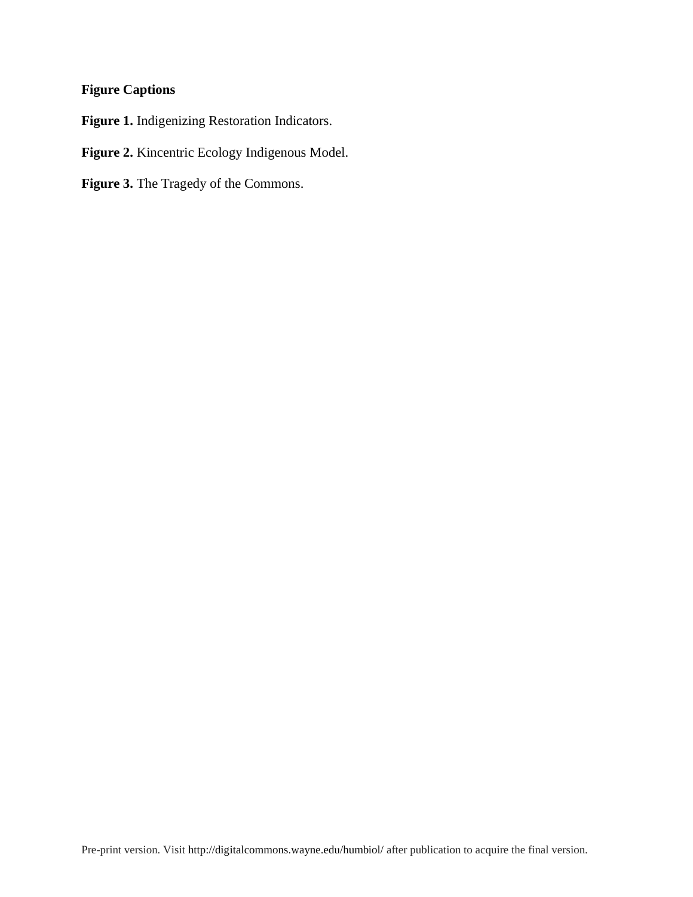# **Figure Captions**

**Figure 1.** Indigenizing Restoration Indicators.

**Figure 2.** Kincentric Ecology Indigenous Model.

**Figure 3.** The Tragedy of the Commons.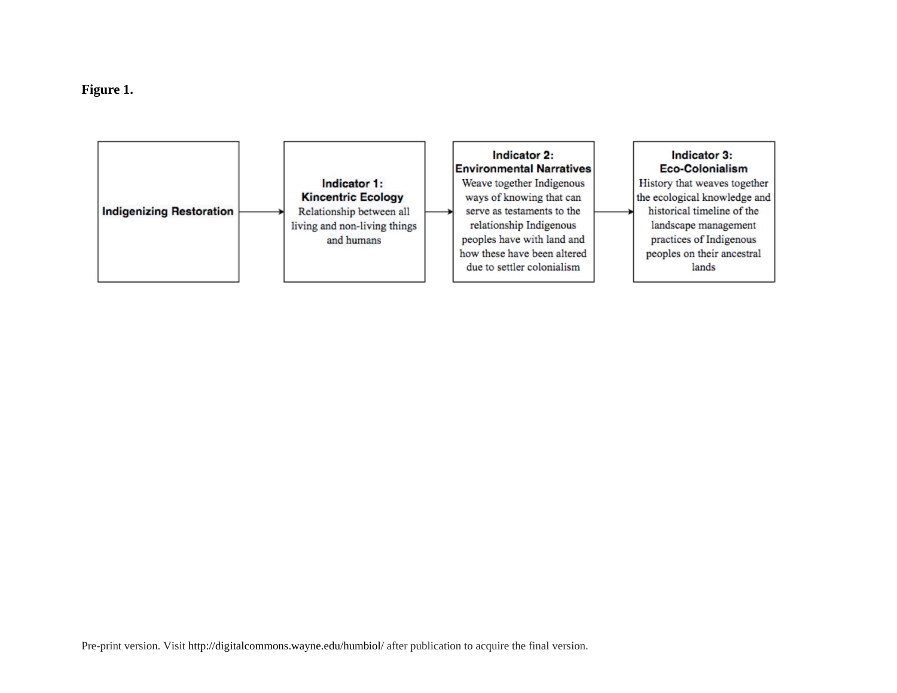

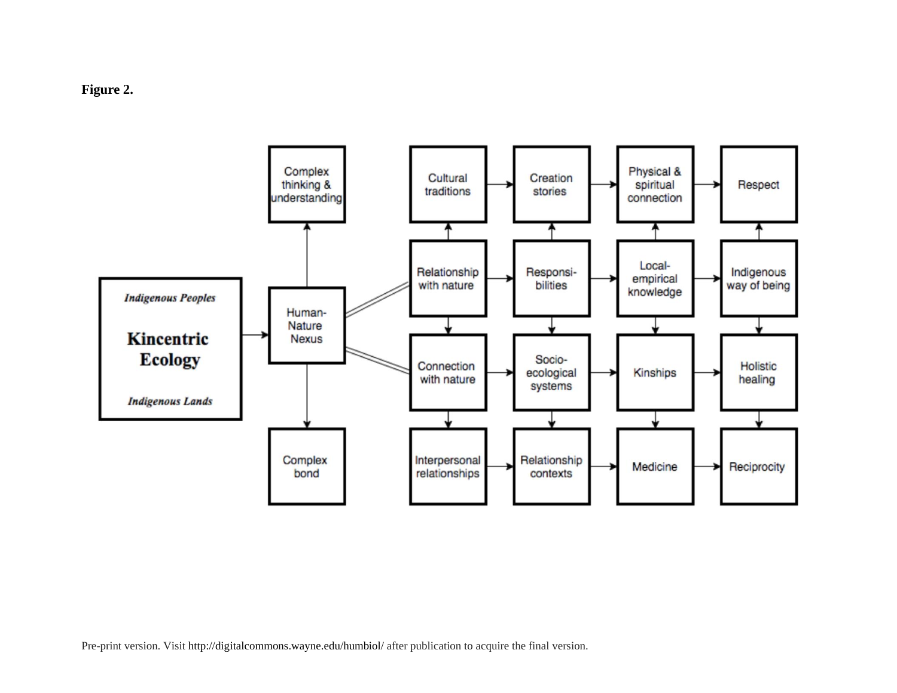



Pre-print version. Visit http://digitalcommons.wayne.edu/humbiol/ after publication to acquire the final version.